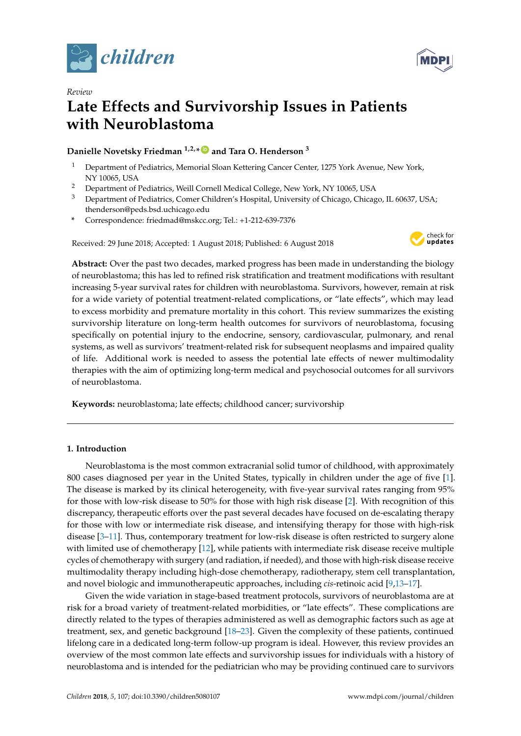

*Review*



# **Late Effects and Survivorship Issues in Patients with Neuroblastoma**

### **Danielle Novetsky Friedman 1,2,\* [ID](https://orcid.org/0000-0003-4668-9176) and Tara O. Henderson <sup>3</sup>**

- <sup>1</sup> Department of Pediatrics, Memorial Sloan Kettering Cancer Center, 1275 York Avenue, New York, NY 10065, USA
- <sup>2</sup> Department of Pediatrics, Weill Cornell Medical College, New York, NY 10065, USA
- <sup>3</sup> Department of Pediatrics, Comer Children's Hospital, University of Chicago, Chicago, IL 60637, USA; thenderson@peds.bsd.uchicago.edu
- **\*** Correspondence: friedmad@mskcc.org; Tel.: +1-212-639-7376

Received: 29 June 2018; Accepted: 1 August 2018; Published: 6 August 2018



**Abstract:** Over the past two decades, marked progress has been made in understanding the biology of neuroblastoma; this has led to refined risk stratification and treatment modifications with resultant increasing 5-year survival rates for children with neuroblastoma. Survivors, however, remain at risk for a wide variety of potential treatment-related complications, or "late effects", which may lead to excess morbidity and premature mortality in this cohort. This review summarizes the existing survivorship literature on long-term health outcomes for survivors of neuroblastoma, focusing specifically on potential injury to the endocrine, sensory, cardiovascular, pulmonary, and renal systems, as well as survivors' treatment-related risk for subsequent neoplasms and impaired quality of life. Additional work is needed to assess the potential late effects of newer multimodality therapies with the aim of optimizing long-term medical and psychosocial outcomes for all survivors of neuroblastoma.

**Keywords:** neuroblastoma; late effects; childhood cancer; survivorship

#### **1. Introduction**

Neuroblastoma is the most common extracranial solid tumor of childhood, with approximately 800 cases diagnosed per year in the United States, typically in children under the age of five [\[1\]](#page-8-0). The disease is marked by its clinical heterogeneity, with five-year survival rates ranging from 95% for those with low-risk disease to 50% for those with high risk disease [\[2\]](#page-8-1). With recognition of this discrepancy, therapeutic efforts over the past several decades have focused on de-escalating therapy for those with low or intermediate risk disease, and intensifying therapy for those with high-risk disease [\[3](#page-8-2)[–11\]](#page-8-3). Thus, contemporary treatment for low-risk disease is often restricted to surgery alone with limited use of chemotherapy [\[12\]](#page-8-4), while patients with intermediate risk disease receive multiple cycles of chemotherapy with surgery (and radiation, if needed), and those with high-risk disease receive multimodality therapy including high-dose chemotherapy, radiotherapy, stem cell transplantation, and novel biologic and immunotherapeutic approaches, including *cis*-retinoic acid [\[9,](#page-8-5)[13–](#page-8-6)[17\]](#page-9-0).

Given the wide variation in stage-based treatment protocols, survivors of neuroblastoma are at risk for a broad variety of treatment-related morbidities, or "late effects". These complications are directly related to the types of therapies administered as well as demographic factors such as age at treatment, sex, and genetic background [\[18](#page-9-1)[–23\]](#page-9-2). Given the complexity of these patients, continued lifelong care in a dedicated long-term follow-up program is ideal. However, this review provides an overview of the most common late effects and survivorship issues for individuals with a history of neuroblastoma and is intended for the pediatrician who may be providing continued care to survivors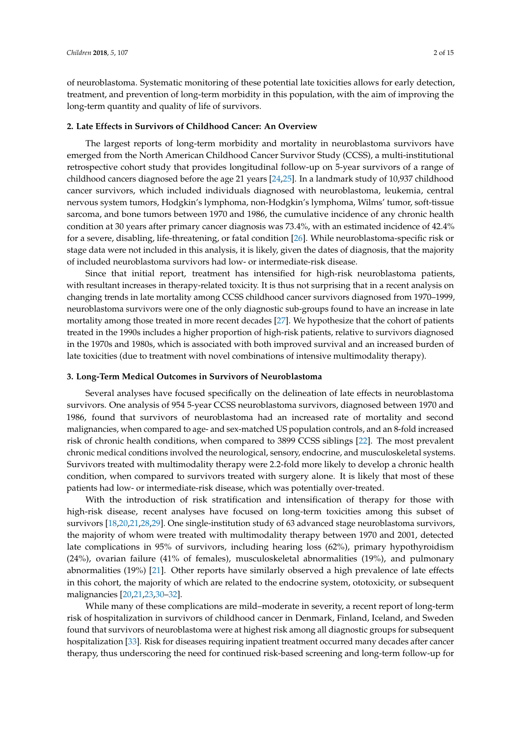of neuroblastoma. Systematic monitoring of these potential late toxicities allows for early detection, treatment, and prevention of long-term morbidity in this population, with the aim of improving the long-term quantity and quality of life of survivors.

#### **2. Late Effects in Survivors of Childhood Cancer: An Overview**

The largest reports of long-term morbidity and mortality in neuroblastoma survivors have emerged from the North American Childhood Cancer Survivor Study (CCSS), a multi-institutional retrospective cohort study that provides longitudinal follow-up on 5-year survivors of a range of childhood cancers diagnosed before the age 21 years [\[24](#page-9-3)[,25\]](#page-9-4). In a landmark study of 10,937 childhood cancer survivors, which included individuals diagnosed with neuroblastoma, leukemia, central nervous system tumors, Hodgkin's lymphoma, non-Hodgkin's lymphoma, Wilms' tumor, soft-tissue sarcoma, and bone tumors between 1970 and 1986, the cumulative incidence of any chronic health condition at 30 years after primary cancer diagnosis was 73.4%, with an estimated incidence of 42.4% for a severe, disabling, life-threatening, or fatal condition [\[26\]](#page-9-5). While neuroblastoma-specific risk or stage data were not included in this analysis, it is likely, given the dates of diagnosis, that the majority of included neuroblastoma survivors had low- or intermediate-risk disease.

Since that initial report, treatment has intensified for high-risk neuroblastoma patients, with resultant increases in therapy-related toxicity. It is thus not surprising that in a recent analysis on changing trends in late mortality among CCSS childhood cancer survivors diagnosed from 1970–1999, neuroblastoma survivors were one of the only diagnostic sub-groups found to have an increase in late mortality among those treated in more recent decades [\[27\]](#page-9-6). We hypothesize that the cohort of patients treated in the 1990s includes a higher proportion of high-risk patients, relative to survivors diagnosed in the 1970s and 1980s, which is associated with both improved survival and an increased burden of late toxicities (due to treatment with novel combinations of intensive multimodality therapy).

#### **3. Long-Term Medical Outcomes in Survivors of Neuroblastoma**

Several analyses have focused specifically on the delineation of late effects in neuroblastoma survivors. One analysis of 954 5-year CCSS neuroblastoma survivors, diagnosed between 1970 and 1986, found that survivors of neuroblastoma had an increased rate of mortality and second malignancies, when compared to age- and sex-matched US population controls, and an 8-fold increased risk of chronic health conditions, when compared to 3899 CCSS siblings [\[22\]](#page-9-7). The most prevalent chronic medical conditions involved the neurological, sensory, endocrine, and musculoskeletal systems. Survivors treated with multimodality therapy were 2.2-fold more likely to develop a chronic health condition, when compared to survivors treated with surgery alone. It is likely that most of these patients had low- or intermediate-risk disease, which was potentially over-treated.

With the introduction of risk stratification and intensification of therapy for those with high-risk disease, recent analyses have focused on long-term toxicities among this subset of survivors [\[18,](#page-9-1)[20,](#page-9-8)[21](#page-9-9)[,28](#page-9-10)[,29\]](#page-10-0). One single-institution study of 63 advanced stage neuroblastoma survivors, the majority of whom were treated with multimodality therapy between 1970 and 2001, detected late complications in 95% of survivors, including hearing loss (62%), primary hypothyroidism (24%), ovarian failure (41% of females), musculoskeletal abnormalities (19%), and pulmonary abnormalities (19%) [\[21\]](#page-9-9). Other reports have similarly observed a high prevalence of late effects in this cohort, the majority of which are related to the endocrine system, ototoxicity, or subsequent malignancies [\[20](#page-9-8)[,21](#page-9-9)[,23,](#page-9-2)[30–](#page-10-1)[32\]](#page-10-2).

While many of these complications are mild–moderate in severity, a recent report of long-term risk of hospitalization in survivors of childhood cancer in Denmark, Finland, Iceland, and Sweden found that survivors of neuroblastoma were at highest risk among all diagnostic groups for subsequent hospitalization [\[33\]](#page-10-3). Risk for diseases requiring inpatient treatment occurred many decades after cancer therapy, thus underscoring the need for continued risk-based screening and long-term follow-up for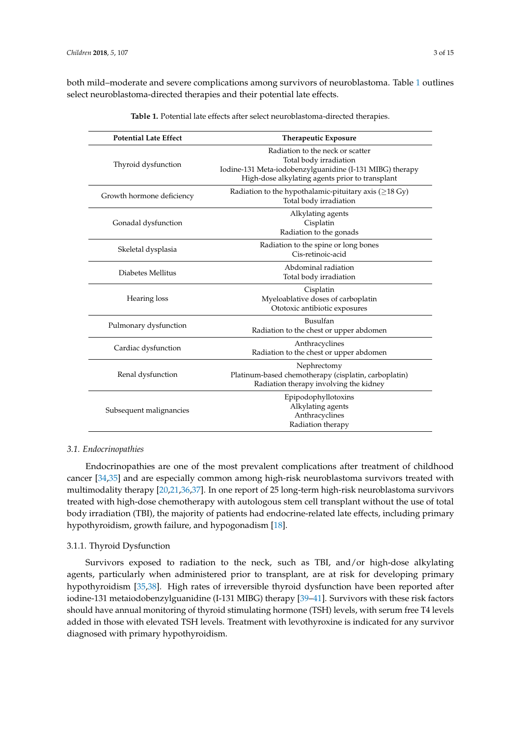<span id="page-2-0"></span>both mild–moderate and severe complications among survivors of neuroblastoma. Table [1](#page-2-0) outlines select neuroblastoma-directed therapies and their potential late effects.

| <b>Potential Late Effect</b> | <b>Therapeutic Exposure</b>                                                                                                                                               |  |
|------------------------------|---------------------------------------------------------------------------------------------------------------------------------------------------------------------------|--|
| Thyroid dysfunction          | Radiation to the neck or scatter<br>Total body irradiation<br>Iodine-131 Meta-iodobenzylguanidine (I-131 MIBG) therapy<br>High-dose alkylating agents prior to transplant |  |
| Growth hormone deficiency    | Radiation to the hypothalamic-pituitary axis ( $\geq$ 18 Gy)<br>Total body irradiation                                                                                    |  |
| Gonadal dysfunction          | Alkylating agents<br>Cisplatin<br>Radiation to the gonads                                                                                                                 |  |
| Skeletal dysplasia           | Radiation to the spine or long bones<br>Cis-retinoic-acid                                                                                                                 |  |
| Diabetes Mellitus            | Abdominal radiation<br>Total body irradiation                                                                                                                             |  |
| Hearing loss                 | Cisplatin<br>Myeloablative doses of carboplatin<br>Ototoxic antibiotic exposures                                                                                          |  |
| Pulmonary dysfunction        | Busulfan<br>Radiation to the chest or upper abdomen                                                                                                                       |  |
| Cardiac dysfunction          | Anthracyclines<br>Radiation to the chest or upper abdomen                                                                                                                 |  |
| Renal dysfunction            | Nephrectomy<br>Platinum-based chemotherapy (cisplatin, carboplatin)<br>Radiation therapy involving the kidney                                                             |  |
| Subsequent malignancies      | Epipodophyllotoxins<br>Alkylating agents<br>Anthracyclines<br>Radiation therapy                                                                                           |  |

**Table 1.** Potential late effects after select neuroblastoma-directed therapies.

#### *3.1. Endocrinopathies*

Endocrinopathies are one of the most prevalent complications after treatment of childhood cancer [\[34,](#page-10-4)[35\]](#page-10-5) and are especially common among high-risk neuroblastoma survivors treated with multimodality therapy [\[20,](#page-9-8)[21,](#page-9-9)[36](#page-10-6)[,37\]](#page-10-7). In one report of 25 long-term high-risk neuroblastoma survivors treated with high-dose chemotherapy with autologous stem cell transplant without the use of total body irradiation (TBI), the majority of patients had endocrine-related late effects, including primary hypothyroidism, growth failure, and hypogonadism [\[18\]](#page-9-1).

#### 3.1.1. Thyroid Dysfunction

Survivors exposed to radiation to the neck, such as TBI, and/or high-dose alkylating agents, particularly when administered prior to transplant, are at risk for developing primary hypothyroidism [\[35](#page-10-5)[,38\]](#page-10-8). High rates of irreversible thyroid dysfunction have been reported after iodine-131 metaiodobenzylguanidine (I-131 MIBG) therapy [\[39–](#page-10-9)[41\]](#page-10-10). Survivors with these risk factors should have annual monitoring of thyroid stimulating hormone (TSH) levels, with serum free T4 levels added in those with elevated TSH levels. Treatment with levothyroxine is indicated for any survivor diagnosed with primary hypothyroidism.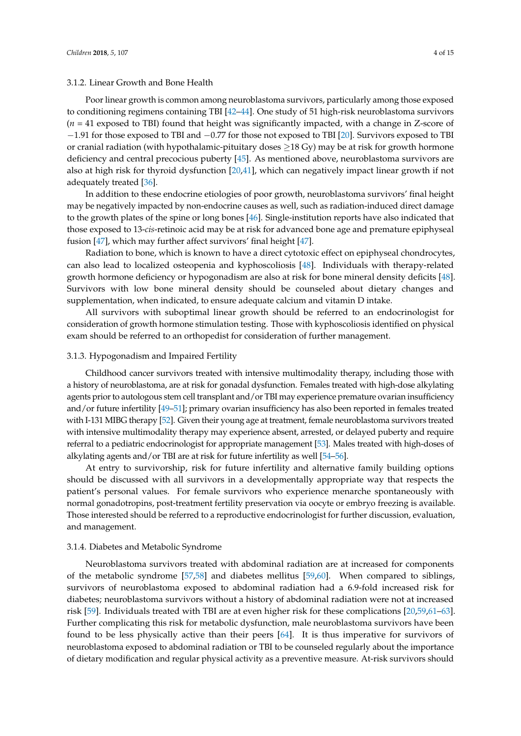#### 3.1.2. Linear Growth and Bone Health

Poor linear growth is common among neuroblastoma survivors, particularly among those exposed to conditioning regimens containing TBI [\[42](#page-10-11)[–44\]](#page-11-0). One study of 51 high-risk neuroblastoma survivors (*n* = 41 exposed to TBI) found that height was significantly impacted, with a change in Z-score of −1.91 for those exposed to TBI and −0.77 for those not exposed to TBI [\[20\]](#page-9-8). Survivors exposed to TBI or cranial radiation (with hypothalamic-pituitary doses  $\geq$ 18 Gy) may be at risk for growth hormone deficiency and central precocious puberty [\[45\]](#page-11-1). As mentioned above, neuroblastoma survivors are also at high risk for thyroid dysfunction [\[20,](#page-9-8)[41\]](#page-10-10), which can negatively impact linear growth if not adequately treated [\[36\]](#page-10-6).

In addition to these endocrine etiologies of poor growth, neuroblastoma survivors' final height may be negatively impacted by non-endocrine causes as well, such as radiation-induced direct damage to the growth plates of the spine or long bones [\[46\]](#page-11-2). Single-institution reports have also indicated that those exposed to 13-*cis*-retinoic acid may be at risk for advanced bone age and premature epiphyseal fusion [\[47\]](#page-11-3), which may further affect survivors' final height [\[47\]](#page-11-3).

Radiation to bone, which is known to have a direct cytotoxic effect on epiphyseal chondrocytes, can also lead to localized osteopenia and kyphoscoliosis [\[48\]](#page-11-4). Individuals with therapy-related growth hormone deficiency or hypogonadism are also at risk for bone mineral density deficits [\[48\]](#page-11-4). Survivors with low bone mineral density should be counseled about dietary changes and supplementation, when indicated, to ensure adequate calcium and vitamin D intake.

All survivors with suboptimal linear growth should be referred to an endocrinologist for consideration of growth hormone stimulation testing. Those with kyphoscoliosis identified on physical exam should be referred to an orthopedist for consideration of further management.

#### 3.1.3. Hypogonadism and Impaired Fertility

Childhood cancer survivors treated with intensive multimodality therapy, including those with a history of neuroblastoma, are at risk for gonadal dysfunction. Females treated with high-dose alkylating agents prior to autologous stem cell transplant and/or TBI may experience premature ovarian insufficiency and/or future infertility [\[49–](#page-11-5)[51\]](#page-11-6); primary ovarian insufficiency has also been reported in females treated with I-131 MIBG therapy [\[52\]](#page-11-7). Given their young age at treatment, female neuroblastoma survivors treated with intensive multimodality therapy may experience absent, arrested, or delayed puberty and require referral to a pediatric endocrinologist for appropriate management [\[53\]](#page-11-8). Males treated with high-doses of alkylating agents and/or TBI are at risk for future infertility as well [\[54](#page-11-9)[–56\]](#page-11-10).

At entry to survivorship, risk for future infertility and alternative family building options should be discussed with all survivors in a developmentally appropriate way that respects the patient's personal values. For female survivors who experience menarche spontaneously with normal gonadotropins, post-treatment fertility preservation via oocyte or embryo freezing is available. Those interested should be referred to a reproductive endocrinologist for further discussion, evaluation, and management.

#### 3.1.4. Diabetes and Metabolic Syndrome

Neuroblastoma survivors treated with abdominal radiation are at increased for components of the metabolic syndrome [\[57](#page-11-11)[,58\]](#page-11-12) and diabetes mellitus [\[59,](#page-11-13)[60\]](#page-11-14). When compared to siblings, survivors of neuroblastoma exposed to abdominal radiation had a 6.9-fold increased risk for diabetes; neuroblastoma survivors without a history of abdominal radiation were not at increased risk [\[59\]](#page-11-13). Individuals treated with TBI are at even higher risk for these complications [\[20,](#page-9-8)[59,](#page-11-13)[61–](#page-12-0)[63\]](#page-12-1). Further complicating this risk for metabolic dysfunction, male neuroblastoma survivors have been found to be less physically active than their peers [\[64\]](#page-12-2). It is thus imperative for survivors of neuroblastoma exposed to abdominal radiation or TBI to be counseled regularly about the importance of dietary modification and regular physical activity as a preventive measure. At-risk survivors should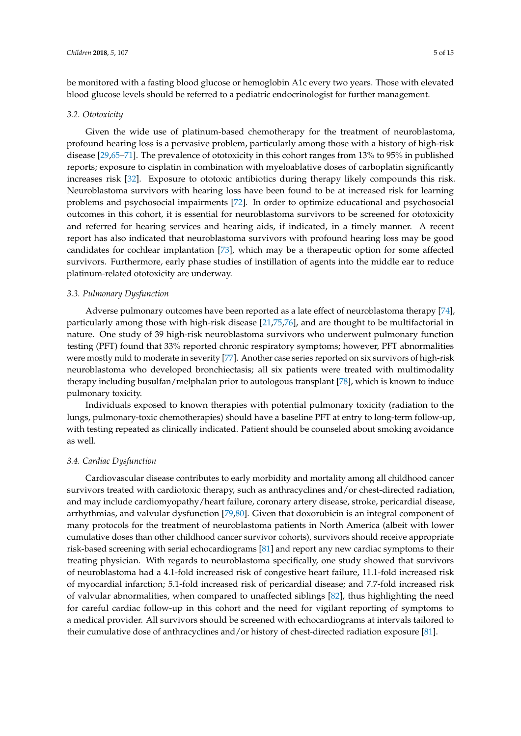be monitored with a fasting blood glucose or hemoglobin A1c every two years. Those with elevated blood glucose levels should be referred to a pediatric endocrinologist for further management.

#### *3.2. Ototoxicity*

Given the wide use of platinum-based chemotherapy for the treatment of neuroblastoma, profound hearing loss is a pervasive problem, particularly among those with a history of high-risk disease [\[29,](#page-10-0)[65](#page-12-3)[–71\]](#page-12-4). The prevalence of ototoxicity in this cohort ranges from 13% to 95% in published reports; exposure to cisplatin in combination with myeloablative doses of carboplatin significantly increases risk [\[32\]](#page-10-2). Exposure to ototoxic antibiotics during therapy likely compounds this risk. Neuroblastoma survivors with hearing loss have been found to be at increased risk for learning problems and psychosocial impairments [\[72\]](#page-12-5). In order to optimize educational and psychosocial outcomes in this cohort, it is essential for neuroblastoma survivors to be screened for ototoxicity and referred for hearing services and hearing aids, if indicated, in a timely manner. A recent report has also indicated that neuroblastoma survivors with profound hearing loss may be good candidates for cochlear implantation [\[73\]](#page-12-6), which may be a therapeutic option for some affected survivors. Furthermore, early phase studies of instillation of agents into the middle ear to reduce platinum-related ototoxicity are underway.

#### *3.3. Pulmonary Dysfunction*

Adverse pulmonary outcomes have been reported as a late effect of neuroblastoma therapy [\[74\]](#page-12-7), particularly among those with high-risk disease [\[21](#page-9-9)[,75](#page-12-8)[,76\]](#page-12-9), and are thought to be multifactorial in nature. One study of 39 high-risk neuroblastoma survivors who underwent pulmonary function testing (PFT) found that 33% reported chronic respiratory symptoms; however, PFT abnormalities were mostly mild to moderate in severity [\[77\]](#page-12-10). Another case series reported on six survivors of high-risk neuroblastoma who developed bronchiectasis; all six patients were treated with multimodality therapy including busulfan/melphalan prior to autologous transplant [\[78\]](#page-12-11), which is known to induce pulmonary toxicity.

Individuals exposed to known therapies with potential pulmonary toxicity (radiation to the lungs, pulmonary-toxic chemotherapies) should have a baseline PFT at entry to long-term follow-up, with testing repeated as clinically indicated. Patient should be counseled about smoking avoidance as well.

#### *3.4. Cardiac Dysfunction*

Cardiovascular disease contributes to early morbidity and mortality among all childhood cancer survivors treated with cardiotoxic therapy, such as anthracyclines and/or chest-directed radiation, and may include cardiomyopathy/heart failure, coronary artery disease, stroke, pericardial disease, arrhythmias, and valvular dysfunction [\[79,](#page-12-12)[80\]](#page-13-0). Given that doxorubicin is an integral component of many protocols for the treatment of neuroblastoma patients in North America (albeit with lower cumulative doses than other childhood cancer survivor cohorts), survivors should receive appropriate risk-based screening with serial echocardiograms [\[81\]](#page-13-1) and report any new cardiac symptoms to their treating physician. With regards to neuroblastoma specifically, one study showed that survivors of neuroblastoma had a 4.1-fold increased risk of congestive heart failure, 11.1-fold increased risk of myocardial infarction; 5.1-fold increased risk of pericardial disease; and 7.7-fold increased risk of valvular abnormalities, when compared to unaffected siblings [\[82\]](#page-13-2), thus highlighting the need for careful cardiac follow-up in this cohort and the need for vigilant reporting of symptoms to a medical provider. All survivors should be screened with echocardiograms at intervals tailored to their cumulative dose of anthracyclines and/or history of chest-directed radiation exposure [\[81\]](#page-13-1).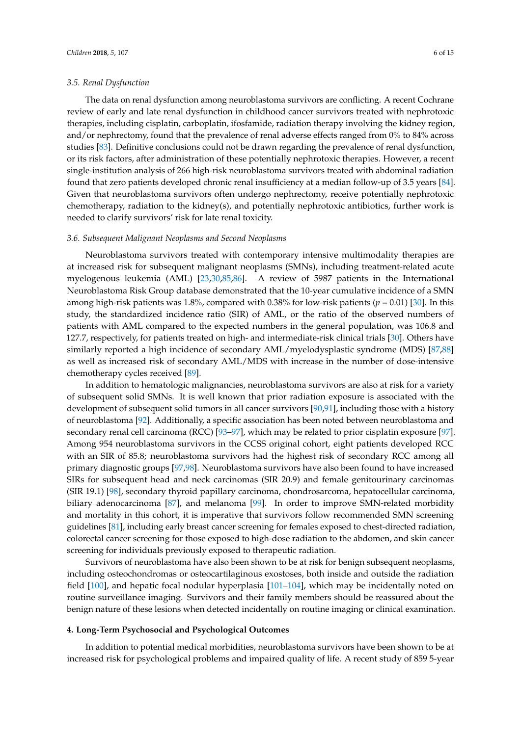#### *3.5. Renal Dysfunction*

The data on renal dysfunction among neuroblastoma survivors are conflicting. A recent Cochrane review of early and late renal dysfunction in childhood cancer survivors treated with nephrotoxic therapies, including cisplatin, carboplatin, ifosfamide, radiation therapy involving the kidney region, and/or nephrectomy, found that the prevalence of renal adverse effects ranged from 0% to 84% across studies [\[83\]](#page-13-3). Definitive conclusions could not be drawn regarding the prevalence of renal dysfunction, or its risk factors, after administration of these potentially nephrotoxic therapies. However, a recent single-institution analysis of 266 high-risk neuroblastoma survivors treated with abdominal radiation found that zero patients developed chronic renal insufficiency at a median follow-up of 3.5 years [\[84\]](#page-13-4). Given that neuroblastoma survivors often undergo nephrectomy, receive potentially nephrotoxic chemotherapy, radiation to the kidney(s), and potentially nephrotoxic antibiotics, further work is needed to clarify survivors' risk for late renal toxicity.

#### *3.6. Subsequent Malignant Neoplasms and Second Neoplasms*

Neuroblastoma survivors treated with contemporary intensive multimodality therapies are at increased risk for subsequent malignant neoplasms (SMNs), including treatment-related acute myelogenous leukemia (AML) [\[23,](#page-9-2)[30](#page-10-1)[,85,](#page-13-5)[86\]](#page-13-6). A review of 5987 patients in the International Neuroblastoma Risk Group database demonstrated that the 10-year cumulative incidence of a SMN among high-risk patients was 1.8%, compared with 0.38% for low-risk patients (*p* = 0.01) [\[30\]](#page-10-1). In this study, the standardized incidence ratio (SIR) of AML, or the ratio of the observed numbers of patients with AML compared to the expected numbers in the general population, was 106.8 and 127.7, respectively, for patients treated on high- and intermediate-risk clinical trials [\[30\]](#page-10-1). Others have similarly reported a high incidence of secondary AML/myelodysplastic syndrome (MDS) [\[87](#page-13-7)[,88\]](#page-13-8) as well as increased risk of secondary AML/MDS with increase in the number of dose-intensive chemotherapy cycles received [\[89\]](#page-13-9).

In addition to hematologic malignancies, neuroblastoma survivors are also at risk for a variety of subsequent solid SMNs. It is well known that prior radiation exposure is associated with the development of subsequent solid tumors in all cancer survivors [\[90,](#page-13-10)[91\]](#page-13-11), including those with a history of neuroblastoma [\[92\]](#page-13-12). Additionally, a specific association has been noted between neuroblastoma and secondary renal cell carcinoma (RCC) [\[93–](#page-13-13)[97\]](#page-14-0), which may be related to prior cisplatin exposure [\[97\]](#page-14-0). Among 954 neuroblastoma survivors in the CCSS original cohort, eight patients developed RCC with an SIR of 85.8; neuroblastoma survivors had the highest risk of secondary RCC among all primary diagnostic groups [\[97,](#page-14-0)[98\]](#page-14-1). Neuroblastoma survivors have also been found to have increased SIRs for subsequent head and neck carcinomas (SIR 20.9) and female genitourinary carcinomas (SIR 19.1) [\[98\]](#page-14-1), secondary thyroid papillary carcinoma, chondrosarcoma, hepatocellular carcinoma, biliary adenocarcinoma [\[87\]](#page-13-7), and melanoma [\[99\]](#page-14-2). In order to improve SMN-related morbidity and mortality in this cohort, it is imperative that survivors follow recommended SMN screening guidelines [\[81\]](#page-13-1), including early breast cancer screening for females exposed to chest-directed radiation, colorectal cancer screening for those exposed to high-dose radiation to the abdomen, and skin cancer screening for individuals previously exposed to therapeutic radiation.

Survivors of neuroblastoma have also been shown to be at risk for benign subsequent neoplasms, including osteochondromas or osteocartilaginous exostoses, both inside and outside the radiation field [\[100\]](#page-14-3), and hepatic focal nodular hyperplasia [\[101–](#page-14-4)[104\]](#page-14-5), which may be incidentally noted on routine surveillance imaging. Survivors and their family members should be reassured about the benign nature of these lesions when detected incidentally on routine imaging or clinical examination.

#### **4. Long-Term Psychosocial and Psychological Outcomes**

In addition to potential medical morbidities, neuroblastoma survivors have been shown to be at increased risk for psychological problems and impaired quality of life. A recent study of 859 5-year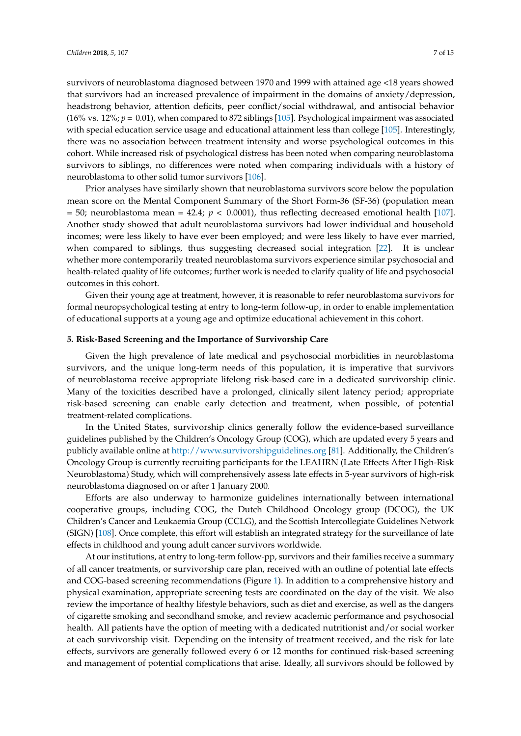survivors of neuroblastoma diagnosed between 1970 and 1999 with attained age <18 years showed

that survivors had an increased prevalence of impairment in the domains of anxiety/depression, headstrong behavior, attention deficits, peer conflict/social withdrawal, and antisocial behavior (16% vs. 12%; *p =* 0.01), when compared to 872 siblings [\[105\]](#page-14-6). Psychological impairment was associated with special education service usage and educational attainment less than college [\[105\]](#page-14-6). Interestingly, there was no association between treatment intensity and worse psychological outcomes in this cohort. While increased risk of psychological distress has been noted when comparing neuroblastoma survivors to siblings, no differences were noted when comparing individuals with a history of neuroblastoma to other solid tumor survivors [\[106\]](#page-14-7).

Prior analyses have similarly shown that neuroblastoma survivors score below the population mean score on the Mental Component Summary of the Short Form-36 (SF-36) (population mean  $= 50$ ; neuroblastoma mean  $= 42.4$ ;  $p < 0.0001$ ), thus reflecting decreased emotional health [\[107\]](#page-14-8). Another study showed that adult neuroblastoma survivors had lower individual and household incomes; were less likely to have ever been employed; and were less likely to have ever married, when compared to siblings, thus suggesting decreased social integration [\[22\]](#page-9-7). It is unclear whether more contemporarily treated neuroblastoma survivors experience similar psychosocial and health-related quality of life outcomes; further work is needed to clarify quality of life and psychosocial outcomes in this cohort.

Given their young age at treatment, however, it is reasonable to refer neuroblastoma survivors for formal neuropsychological testing at entry to long-term follow-up, in order to enable implementation of educational supports at a young age and optimize educational achievement in this cohort.

#### **5. Risk-Based Screening and the Importance of Survivorship Care**

Given the high prevalence of late medical and psychosocial morbidities in neuroblastoma survivors, and the unique long-term needs of this population, it is imperative that survivors of neuroblastoma receive appropriate lifelong risk-based care in a dedicated survivorship clinic. Many of the toxicities described have a prolonged, clinically silent latency period; appropriate risk-based screening can enable early detection and treatment, when possible, of potential treatment-related complications.

In the United States, survivorship clinics generally follow the evidence-based surveillance guidelines published by the Children's Oncology Group (COG), which are updated every 5 years and publicly available online at <http://www.survivorshipguidelines.org> [\[81\]](#page-13-1). Additionally, the Children's Oncology Group is currently recruiting participants for the LEAHRN (Late Effects After High-Risk Neuroblastoma) Study, which will comprehensively assess late effects in 5-year survivors of high-risk neuroblastoma diagnosed on or after 1 January 2000.

Efforts are also underway to harmonize guidelines internationally between international cooperative groups, including COG, the Dutch Childhood Oncology group (DCOG), the UK Children's Cancer and Leukaemia Group (CCLG), and the Scottish Intercollegiate Guidelines Network (SIGN) [\[108\]](#page-14-9). Once complete, this effort will establish an integrated strategy for the surveillance of late effects in childhood and young adult cancer survivors worldwide.

At our institutions, at entry to long-term follow-pp, survivors and their families receive a summary of all cancer treatments, or survivorship care plan, received with an outline of potential late effects and COG-based screening recommendations (Figure [1\)](#page-7-0). In addition to a comprehensive history and physical examination, appropriate screening tests are coordinated on the day of the visit. We also review the importance of healthy lifestyle behaviors, such as diet and exercise, as well as the dangers of cigarette smoking and secondhand smoke, and review academic performance and psychosocial health. All patients have the option of meeting with a dedicated nutritionist and/or social worker at each survivorship visit. Depending on the intensity of treatment received, and the risk for late effects, survivors are generally followed every 6 or 12 months for continued risk-based screening and management of potential complications that arise. Ideally, all survivors should be followed by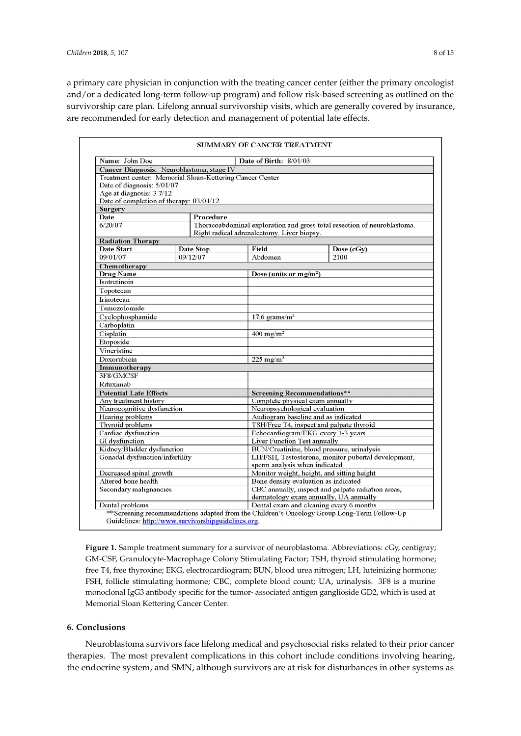a primary care physician in conjunction with the treating cancer center (either the primary oncologist and/or a dedicated long-term follow-up program) and follow risk-based screening as outlined on the survivorship care plan. Lifelong annual survivorship visits, which are generally covered by insurance, are recommended for early detection and management of potential late effects.

<span id="page-7-0"></span>

| Name: John Doe                                                |          | Date of Birth: 8/01/03                                                                            |                                                                          |                           |  |
|---------------------------------------------------------------|----------|---------------------------------------------------------------------------------------------------|--------------------------------------------------------------------------|---------------------------|--|
| Cancer Diagnosis: Neuroblastoma, stage IV                     |          |                                                                                                   |                                                                          |                           |  |
| Treatment center: Memorial Sloan-Kettering Cancer Center      |          |                                                                                                   |                                                                          |                           |  |
| Date of diagnosis: 5/01/07                                    |          |                                                                                                   |                                                                          |                           |  |
| Age at diagnosis: 3 7/12                                      |          |                                                                                                   |                                                                          |                           |  |
| Date of completion of therapy: 03/01/12                       |          |                                                                                                   |                                                                          |                           |  |
| <b>Surgery</b>                                                |          |                                                                                                   |                                                                          |                           |  |
| Date<br>Procedure<br>6/20/07                                  |          |                                                                                                   | Thoracoabdominal exploration and gross total resection of neuroblastoma. |                           |  |
|                                                               |          | Right radical adrenalectomy. Liver biopsy.                                                        |                                                                          |                           |  |
| <b>Radiation Therapy</b>                                      |          |                                                                                                   |                                                                          |                           |  |
| Date Start<br>Date Stop                                       |          |                                                                                                   | Field                                                                    | Dose (cGy)                |  |
| 09/01/07                                                      | 09/12/07 |                                                                                                   | Abdomen                                                                  | 2100                      |  |
| Chemotherapy                                                  |          |                                                                                                   |                                                                          |                           |  |
| <b>Drug Name</b>                                              |          |                                                                                                   |                                                                          | Dose (units or $mg/m^2$ ) |  |
| Isotretinoin                                                  |          |                                                                                                   |                                                                          |                           |  |
| Topotecan                                                     |          |                                                                                                   |                                                                          |                           |  |
| Irinotecan                                                    |          |                                                                                                   |                                                                          |                           |  |
| Temozolomide                                                  |          |                                                                                                   |                                                                          |                           |  |
| Cyclophosphamide                                              |          |                                                                                                   | 17.6 grams/ $m2$                                                         |                           |  |
| Carboplatin                                                   |          |                                                                                                   |                                                                          |                           |  |
| Cisplatin                                                     |          | $400 \text{ mg/m}^2$                                                                              |                                                                          |                           |  |
| Etoposide                                                     |          |                                                                                                   |                                                                          |                           |  |
| Vincristine                                                   |          |                                                                                                   |                                                                          |                           |  |
| Doxorubicin                                                   |          | 225 mg/m <sup>2</sup>                                                                             |                                                                          |                           |  |
| Immunotherapy                                                 |          |                                                                                                   |                                                                          |                           |  |
| 3F8/GMCSF                                                     |          |                                                                                                   |                                                                          |                           |  |
| Rituximab                                                     |          |                                                                                                   |                                                                          |                           |  |
| <b>Potential Late Effects</b>                                 |          | Screening Recommendations**                                                                       |                                                                          |                           |  |
| Any treatment history                                         |          |                                                                                                   | Complete physical exam annually                                          |                           |  |
| Neurocognitive dysfunction                                    |          |                                                                                                   | Neuropsychological evaluation                                            |                           |  |
| Hearing problems                                              |          |                                                                                                   | Audiogram baseline and as indicated                                      |                           |  |
| Thyroid problems                                              |          |                                                                                                   | TSH/Free T4, inspect and palpate thyroid                                 |                           |  |
| Cardiac dysfunction                                           |          |                                                                                                   | Echocardiogram/EKG every 1-3 years                                       |                           |  |
| GI dysfunction                                                |          |                                                                                                   | Liver Function Test annually                                             |                           |  |
| Kidney/Bladder dysfunction<br>Gonadal dysfunction/infertility |          | BUN/Creatinine, blood pressure, urinalysis<br>LH/FSH, Testosterone, monitor pubertal development, |                                                                          |                           |  |
|                                                               |          |                                                                                                   | sperm analysis when indicated                                            |                           |  |
| Decreased spinal growth                                       |          |                                                                                                   | Monitor weight, height, and sitting height                               |                           |  |
| Altered bone health                                           |          |                                                                                                   | Bone density evaluation as indicated                                     |                           |  |
| Secondary malignancies                                        |          | CBC annually, inspect and palpate radiation areas,<br>dermatology exam annually, UA annually      |                                                                          |                           |  |
| Dental problems                                               |          | Dental exam and cleaning every 6 months                                                           |                                                                          |                           |  |

**Figure 1.** Sample treatment summary for a survivor of neuroblastoma. Abbreviations: cGy, centigray; **Figure 1.** Sample treatment summary for a survivor of neuroblastoma. Abbreviations: cGy, centigray; GM-CSF, Granulocyte-Macrophage Colony Stimulating Factor; TSH, thyroid stimulating hormone; GM-CSF, Granulocyte-Macrophage Colony Stimulating Factor; TSH, thyroid stimulating hormone; free T4, free thyroxine; EKG, electrocardiogram; BUN, blood urea nitrogen; LH, luteinizing hormone; free T4, free thyroxine; EKG, electrocardiogram; BUN, blood urea nitrogen; LH, luteinizing hormone; FSH, follicle stimulating hormone; CBC, complete blood count; UA, urinalysis. 3F8 is a murine FSH, follicle stimulating hormone; CBC, complete blood count; UA, urinalysis. 3F8 is a murine monoclonal IgG3 antibody specific for the tumor- associated antigen ganglioside GD2, which is used monoclonal IgG3 antibody specific for the tumor- associated antigen ganglioside GD2, which is used at Memorial Sloan Kettering Cancer Center.

## **6. Conclusions 6. Conclusions**

Neuroblastoma survivors face lifelong medical and psychosocial risks related to their prior Neuroblastoma survivors face lifelong medical and psychosocial risks related to their prior cancer cancer therapies. The most prevalent complications in this cohort include conditions involving therapies. The most prevalent complications in this cohort include conditions involving hearing, hearing, the endor in the endor in the endorse system, and the endorse are at risk for disturbances in other systems. the endocrine system, and SMN, although survivors are at risk for disturbances in other systems as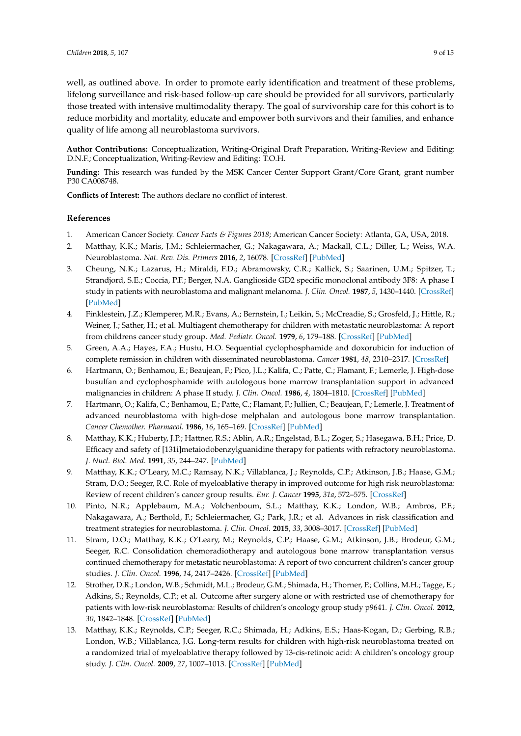well, as outlined above. In order to promote early identification and treatment of these problems, lifelong surveillance and risk-based follow-up care should be provided for all survivors, particularly those treated with intensive multimodality therapy. The goal of survivorship care for this cohort is to reduce morbidity and mortality, educate and empower both survivors and their families, and enhance quality of life among all neuroblastoma survivors.

**Author Contributions:** Conceptualization, Writing-Original Draft Preparation, Writing-Review and Editing: D.N.F.; Conceptualization, Writing-Review and Editing: T.O.H.

**Funding:** This research was funded by the MSK Cancer Center Support Grant/Core Grant, grant number P30 CA008748.

**Conflicts of Interest:** The authors declare no conflict of interest.

#### **References**

- <span id="page-8-0"></span>1. American Cancer Society. *Cancer Facts & Figures 2018*; American Cancer Society: Atlanta, GA, USA, 2018.
- <span id="page-8-1"></span>2. Matthay, K.K.; Maris, J.M.; Schleiermacher, G.; Nakagawara, A.; Mackall, C.L.; Diller, L.; Weiss, W.A. Neuroblastoma. *Nat. Rev. Dis. Primers* **2016**, *2*, 16078. [\[CrossRef\]](http://dx.doi.org/10.1038/nrdp.2016.78) [\[PubMed\]](http://www.ncbi.nlm.nih.gov/pubmed/27830764)
- <span id="page-8-2"></span>3. Cheung, N.K.; Lazarus, H.; Miraldi, F.D.; Abramowsky, C.R.; Kallick, S.; Saarinen, U.M.; Spitzer, T.; Strandjord, S.E.; Coccia, P.F.; Berger, N.A. Ganglioside GD2 specific monoclonal antibody 3F8: A phase I study in patients with neuroblastoma and malignant melanoma. *J. Clin. Oncol.* **1987**, *5*, 1430–1440. [\[CrossRef\]](http://dx.doi.org/10.1200/JCO.1987.5.9.1430) [\[PubMed\]](http://www.ncbi.nlm.nih.gov/pubmed/3625258)
- 4. Finklestein, J.Z.; Klemperer, M.R.; Evans, A.; Bernstein, I.; Leikin, S.; McCreadie, S.; Grosfeld, J.; Hittle, R.; Weiner, J.; Sather, H.; et al. Multiagent chemotherapy for children with metastatic neuroblastoma: A report from childrens cancer study group. *Med. Pediatr. Oncol.* **1979**, *6*, 179–188. [\[CrossRef\]](http://dx.doi.org/10.1002/mpo.2950060211) [\[PubMed\]](http://www.ncbi.nlm.nih.gov/pubmed/460045)
- 5. Green, A.A.; Hayes, F.A.; Hustu, H.O. Sequential cyclophosphamide and doxorubicin for induction of complete remission in children with disseminated neuroblastoma. *Cancer* **1981**, *48*, 2310–2317. [\[CrossRef\]](http://dx.doi.org/10.1002/1097-0142(19811115)48:10<2310::AID-CNCR2820481029>3.0.CO;2-W)
- 6. Hartmann, O.; Benhamou, E.; Beaujean, F.; Pico, J.L.; Kalifa, C.; Patte, C.; Flamant, F.; Lemerle, J. High-dose busulfan and cyclophosphamide with autologous bone marrow transplantation support in advanced malignancies in children: A phase II study. *J. Clin. Oncol.* **1986**, *4*, 1804–1810. [\[CrossRef\]](http://dx.doi.org/10.1200/JCO.1986.4.12.1804) [\[PubMed\]](http://www.ncbi.nlm.nih.gov/pubmed/3537217)
- 7. Hartmann, O.; Kalifa, C.; Benhamou, E.; Patte, C.; Flamant, F.; Jullien, C.; Beaujean, F.; Lemerle, J. Treatment of advanced neuroblastoma with high-dose melphalan and autologous bone marrow transplantation. *Cancer Chemother. Pharmacol.* **1986**, *16*, 165–169. [\[CrossRef\]](http://dx.doi.org/10.1007/BF00256169) [\[PubMed\]](http://www.ncbi.nlm.nih.gov/pubmed/3512113)
- 8. Matthay, K.K.; Huberty, J.P.; Hattner, R.S.; Ablin, A.R.; Engelstad, B.L.; Zoger, S.; Hasegawa, B.H.; Price, D. Efficacy and safety of [131i]metaiodobenzylguanidine therapy for patients with refractory neuroblastoma. *J. Nucl. Biol. Med.* **1991**, *35*, 244–247. [\[PubMed\]](http://www.ncbi.nlm.nih.gov/pubmed/1823827)
- <span id="page-8-5"></span>9. Matthay, K.K.; O'Leary, M.C.; Ramsay, N.K.; Villablanca, J.; Reynolds, C.P.; Atkinson, J.B.; Haase, G.M.; Stram, D.O.; Seeger, R.C. Role of myeloablative therapy in improved outcome for high risk neuroblastoma: Review of recent children's cancer group results. *Eur. J. Cancer* **1995**, *31a*, 572–575. [\[CrossRef\]](http://dx.doi.org/10.1016/0959-8049(95)00015-B)
- 10. Pinto, N.R.; Applebaum, M.A.; Volchenboum, S.L.; Matthay, K.K.; London, W.B.; Ambros, P.F.; Nakagawara, A.; Berthold, F.; Schleiermacher, G.; Park, J.R.; et al. Advances in risk classification and treatment strategies for neuroblastoma. *J. Clin. Oncol.* **2015**, *33*, 3008–3017. [\[CrossRef\]](http://dx.doi.org/10.1200/JCO.2014.59.4648) [\[PubMed\]](http://www.ncbi.nlm.nih.gov/pubmed/26304901)
- <span id="page-8-3"></span>11. Stram, D.O.; Matthay, K.K.; O'Leary, M.; Reynolds, C.P.; Haase, G.M.; Atkinson, J.B.; Brodeur, G.M.; Seeger, R.C. Consolidation chemoradiotherapy and autologous bone marrow transplantation versus continued chemotherapy for metastatic neuroblastoma: A report of two concurrent children's cancer group studies. *J. Clin. Oncol.* **1996**, *14*, 2417–2426. [\[CrossRef\]](http://dx.doi.org/10.1200/JCO.1996.14.9.2417) [\[PubMed\]](http://www.ncbi.nlm.nih.gov/pubmed/8823319)
- <span id="page-8-4"></span>12. Strother, D.R.; London, W.B.; Schmidt, M.L.; Brodeur, G.M.; Shimada, H.; Thorner, P.; Collins, M.H.; Tagge, E.; Adkins, S.; Reynolds, C.P.; et al. Outcome after surgery alone or with restricted use of chemotherapy for patients with low-risk neuroblastoma: Results of children's oncology group study p9641. *J. Clin. Oncol.* **2012**, *30*, 1842–1848. [\[CrossRef\]](http://dx.doi.org/10.1200/JCO.2011.37.9990) [\[PubMed\]](http://www.ncbi.nlm.nih.gov/pubmed/22529259)
- <span id="page-8-6"></span>13. Matthay, K.K.; Reynolds, C.P.; Seeger, R.C.; Shimada, H.; Adkins, E.S.; Haas-Kogan, D.; Gerbing, R.B.; London, W.B.; Villablanca, J.G. Long-term results for children with high-risk neuroblastoma treated on a randomized trial of myeloablative therapy followed by 13-cis-retinoic acid: A children's oncology group study. *J. Clin. Oncol.* **2009**, *27*, 1007–1013. [\[CrossRef\]](http://dx.doi.org/10.1200/JCO.2007.13.8925) [\[PubMed\]](http://www.ncbi.nlm.nih.gov/pubmed/19171716)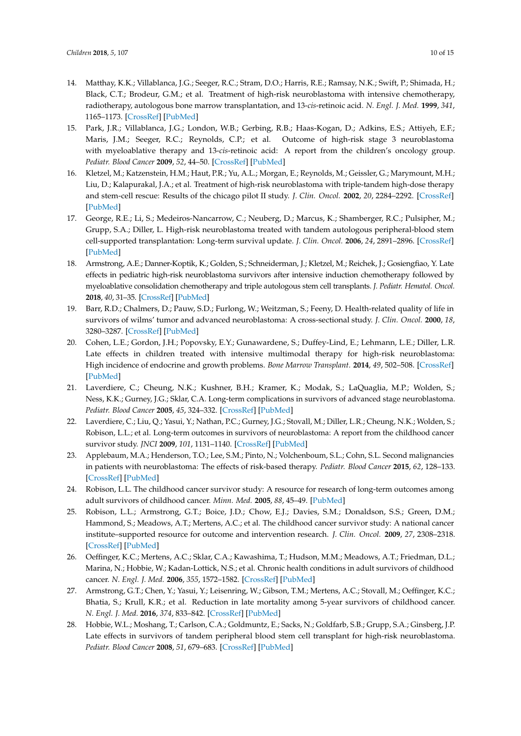- 14. Matthay, K.K.; Villablanca, J.G.; Seeger, R.C.; Stram, D.O.; Harris, R.E.; Ramsay, N.K.; Swift, P.; Shimada, H.; Black, C.T.; Brodeur, G.M.; et al. Treatment of high-risk neuroblastoma with intensive chemotherapy, radiotherapy, autologous bone marrow transplantation, and 13-*cis*-retinoic acid. *N. Engl. J. Med.* **1999**, *341*, 1165–1173. [\[CrossRef\]](http://dx.doi.org/10.1056/NEJM199910143411601) [\[PubMed\]](http://www.ncbi.nlm.nih.gov/pubmed/10519894)
- 15. Park, J.R.; Villablanca, J.G.; London, W.B.; Gerbing, R.B.; Haas-Kogan, D.; Adkins, E.S.; Attiyeh, E.F.; Maris, J.M.; Seeger, R.C.; Reynolds, C.P.; et al. Outcome of high-risk stage 3 neuroblastoma with myeloablative therapy and 13-*cis*-retinoic acid: A report from the children's oncology group. *Pediatr. Blood Cancer* **2009**, *52*, 44–50. [\[CrossRef\]](http://dx.doi.org/10.1002/pbc.21784) [\[PubMed\]](http://www.ncbi.nlm.nih.gov/pubmed/18937318)
- 16. Kletzel, M.; Katzenstein, H.M.; Haut, P.R.; Yu, A.L.; Morgan, E.; Reynolds, M.; Geissler, G.; Marymount, M.H.; Liu, D.; Kalapurakal, J.A.; et al. Treatment of high-risk neuroblastoma with triple-tandem high-dose therapy and stem-cell rescue: Results of the chicago pilot II study. *J. Clin. Oncol.* **2002**, *20*, 2284–2292. [\[CrossRef\]](http://dx.doi.org/10.1200/JCO.2002.06.060) [\[PubMed\]](http://www.ncbi.nlm.nih.gov/pubmed/11980999)
- <span id="page-9-0"></span>17. George, R.E.; Li, S.; Medeiros-Nancarrow, C.; Neuberg, D.; Marcus, K.; Shamberger, R.C.; Pulsipher, M.; Grupp, S.A.; Diller, L. High-risk neuroblastoma treated with tandem autologous peripheral-blood stem cell-supported transplantation: Long-term survival update. *J. Clin. Oncol.* **2006**, *24*, 2891–2896. [\[CrossRef\]](http://dx.doi.org/10.1200/JCO.2006.05.6986) [\[PubMed\]](http://www.ncbi.nlm.nih.gov/pubmed/16782928)
- <span id="page-9-1"></span>18. Armstrong, A.E.; Danner-Koptik, K.; Golden, S.; Schneiderman, J.; Kletzel, M.; Reichek, J.; Gosiengfiao, Y. Late effects in pediatric high-risk neuroblastoma survivors after intensive induction chemotherapy followed by myeloablative consolidation chemotherapy and triple autologous stem cell transplants. *J. Pediatr. Hematol. Oncol.* **2018**, *40*, 31–35. [\[CrossRef\]](http://dx.doi.org/10.1097/MPH.0000000000000848) [\[PubMed\]](http://www.ncbi.nlm.nih.gov/pubmed/28538090)
- 19. Barr, R.D.; Chalmers, D.; Pauw, S.D.; Furlong, W.; Weitzman, S.; Feeny, D. Health-related quality of life in survivors of wilms' tumor and advanced neuroblastoma: A cross-sectional study. *J. Clin. Oncol.* **2000**, *18*, 3280–3287. [\[CrossRef\]](http://dx.doi.org/10.1200/JCO.2000.18.18.3280) [\[PubMed\]](http://www.ncbi.nlm.nih.gov/pubmed/10986061)
- <span id="page-9-8"></span>20. Cohen, L.E.; Gordon, J.H.; Popovsky, E.Y.; Gunawardene, S.; Duffey-Lind, E.; Lehmann, L.E.; Diller, L.R. Late effects in children treated with intensive multimodal therapy for high-risk neuroblastoma: High incidence of endocrine and growth problems. *Bone Marrow Transplant.* **2014**, *49*, 502–508. [\[CrossRef\]](http://dx.doi.org/10.1038/bmt.2013.218) [\[PubMed\]](http://www.ncbi.nlm.nih.gov/pubmed/24442245)
- <span id="page-9-9"></span>21. Laverdiere, C.; Cheung, N.K.; Kushner, B.H.; Kramer, K.; Modak, S.; LaQuaglia, M.P.; Wolden, S.; Ness, K.K.; Gurney, J.G.; Sklar, C.A. Long-term complications in survivors of advanced stage neuroblastoma. *Pediatr. Blood Cancer* **2005**, *45*, 324–332. [\[CrossRef\]](http://dx.doi.org/10.1002/pbc.20331) [\[PubMed\]](http://www.ncbi.nlm.nih.gov/pubmed/15714447)
- <span id="page-9-7"></span>22. Laverdiere, C.; Liu, Q.; Yasui, Y.; Nathan, P.C.; Gurney, J.G.; Stovall, M.; Diller, L.R.; Cheung, N.K.; Wolden, S.; Robison, L.L.; et al. Long-term outcomes in survivors of neuroblastoma: A report from the childhood cancer survivor study. *JNCI* **2009**, *101*, 1131–1140. [\[CrossRef\]](http://dx.doi.org/10.1093/jnci/djp230) [\[PubMed\]](http://www.ncbi.nlm.nih.gov/pubmed/19648511)
- <span id="page-9-2"></span>23. Applebaum, M.A.; Henderson, T.O.; Lee, S.M.; Pinto, N.; Volchenboum, S.L.; Cohn, S.L. Second malignancies in patients with neuroblastoma: The effects of risk-based therapy. *Pediatr. Blood Cancer* **2015**, *62*, 128–133. [\[CrossRef\]](http://dx.doi.org/10.1002/pbc.25249) [\[PubMed\]](http://www.ncbi.nlm.nih.gov/pubmed/25251613)
- <span id="page-9-3"></span>24. Robison, L.L. The childhood cancer survivor study: A resource for research of long-term outcomes among adult survivors of childhood cancer. *Minn. Med.* **2005**, *88*, 45–49. [\[PubMed\]](http://www.ncbi.nlm.nih.gov/pubmed/15942996)
- <span id="page-9-4"></span>25. Robison, L.L.; Armstrong, G.T.; Boice, J.D.; Chow, E.J.; Davies, S.M.; Donaldson, S.S.; Green, D.M.; Hammond, S.; Meadows, A.T.; Mertens, A.C.; et al. The childhood cancer survivor study: A national cancer institute–supported resource for outcome and intervention research. *J. Clin. Oncol.* **2009**, *27*, 2308–2318. [\[CrossRef\]](http://dx.doi.org/10.1200/JCO.2009.22.3339) [\[PubMed\]](http://www.ncbi.nlm.nih.gov/pubmed/19364948)
- <span id="page-9-5"></span>26. Oeffinger, K.C.; Mertens, A.C.; Sklar, C.A.; Kawashima, T.; Hudson, M.M.; Meadows, A.T.; Friedman, D.L.; Marina, N.; Hobbie, W.; Kadan-Lottick, N.S.; et al. Chronic health conditions in adult survivors of childhood cancer. *N. Engl. J. Med.* **2006**, *355*, 1572–1582. [\[CrossRef\]](http://dx.doi.org/10.1056/NEJMsa060185) [\[PubMed\]](http://www.ncbi.nlm.nih.gov/pubmed/17035650)
- <span id="page-9-6"></span>27. Armstrong, G.T.; Chen, Y.; Yasui, Y.; Leisenring, W.; Gibson, T.M.; Mertens, A.C.; Stovall, M.; Oeffinger, K.C.; Bhatia, S.; Krull, K.R.; et al. Reduction in late mortality among 5-year survivors of childhood cancer. *N. Engl. J. Med.* **2016**, *374*, 833–842. [\[CrossRef\]](http://dx.doi.org/10.1056/NEJMoa1510795) [\[PubMed\]](http://www.ncbi.nlm.nih.gov/pubmed/26761625)
- <span id="page-9-10"></span>28. Hobbie, W.L.; Moshang, T.; Carlson, C.A.; Goldmuntz, E.; Sacks, N.; Goldfarb, S.B.; Grupp, S.A.; Ginsberg, J.P. Late effects in survivors of tandem peripheral blood stem cell transplant for high-risk neuroblastoma. *Pediatr. Blood Cancer* **2008**, *51*, 679–683. [\[CrossRef\]](http://dx.doi.org/10.1002/pbc.21683) [\[PubMed\]](http://www.ncbi.nlm.nih.gov/pubmed/18623215)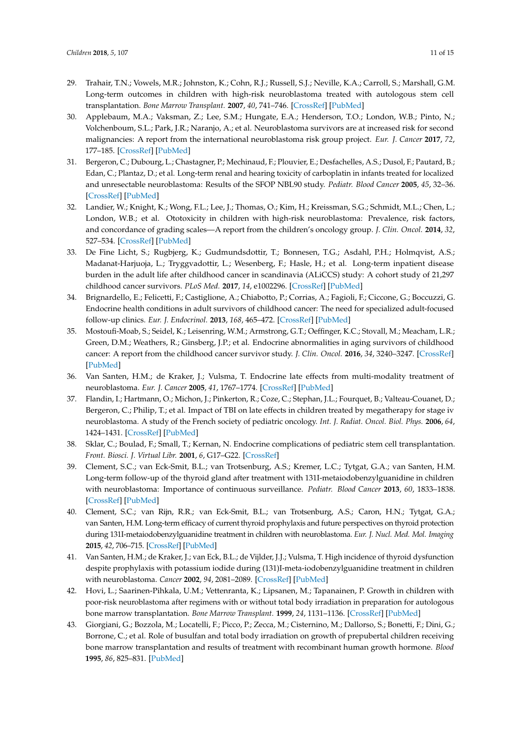- <span id="page-10-0"></span>29. Trahair, T.N.; Vowels, M.R.; Johnston, K.; Cohn, R.J.; Russell, S.J.; Neville, K.A.; Carroll, S.; Marshall, G.M. Long-term outcomes in children with high-risk neuroblastoma treated with autologous stem cell transplantation. *Bone Marrow Transplant.* **2007**, *40*, 741–746. [\[CrossRef\]](http://dx.doi.org/10.1038/sj.bmt.1705809) [\[PubMed\]](http://www.ncbi.nlm.nih.gov/pubmed/17724446)
- <span id="page-10-1"></span>30. Applebaum, M.A.; Vaksman, Z.; Lee, S.M.; Hungate, E.A.; Henderson, T.O.; London, W.B.; Pinto, N.; Volchenboum, S.L.; Park, J.R.; Naranjo, A.; et al. Neuroblastoma survivors are at increased risk for second malignancies: A report from the international neuroblastoma risk group project. *Eur. J. Cancer* **2017**, *72*, 177–185. [\[CrossRef\]](http://dx.doi.org/10.1016/j.ejca.2016.11.022) [\[PubMed\]](http://www.ncbi.nlm.nih.gov/pubmed/28033528)
- 31. Bergeron, C.; Dubourg, L.; Chastagner, P.; Mechinaud, F.; Plouvier, E.; Desfachelles, A.S.; Dusol, F.; Pautard, B.; Edan, C.; Plantaz, D.; et al. Long-term renal and hearing toxicity of carboplatin in infants treated for localized and unresectable neuroblastoma: Results of the SFOP NBL90 study. *Pediatr. Blood Cancer* **2005**, *45*, 32–36. [\[CrossRef\]](http://dx.doi.org/10.1002/pbc.20379) [\[PubMed\]](http://www.ncbi.nlm.nih.gov/pubmed/15768383)
- <span id="page-10-2"></span>32. Landier, W.; Knight, K.; Wong, F.L.; Lee, J.; Thomas, O.; Kim, H.; Kreissman, S.G.; Schmidt, M.L.; Chen, L.; London, W.B.; et al. Ototoxicity in children with high-risk neuroblastoma: Prevalence, risk factors, and concordance of grading scales—A report from the children's oncology group. *J. Clin. Oncol.* **2014**, *32*, 527–534. [\[CrossRef\]](http://dx.doi.org/10.1200/JCO.2013.51.2038) [\[PubMed\]](http://www.ncbi.nlm.nih.gov/pubmed/24419114)
- <span id="page-10-3"></span>33. De Fine Licht, S.; Rugbjerg, K.; Gudmundsdottir, T.; Bonnesen, T.G.; Asdahl, P.H.; Holmqvist, A.S.; Madanat-Harjuoja, L.; Tryggvadottir, L.; Wesenberg, F.; Hasle, H.; et al. Long-term inpatient disease burden in the adult life after childhood cancer in scandinavia (ALiCCS) study: A cohort study of 21,297 childhood cancer survivors. *PLoS Med.* **2017**, *14*, e1002296. [\[CrossRef\]](http://dx.doi.org/10.1371/journal.pmed.1002296) [\[PubMed\]](http://www.ncbi.nlm.nih.gov/pubmed/28486495)
- <span id="page-10-4"></span>34. Brignardello, E.; Felicetti, F.; Castiglione, A.; Chiabotto, P.; Corrias, A.; Fagioli, F.; Ciccone, G.; Boccuzzi, G. Endocrine health conditions in adult survivors of childhood cancer: The need for specialized adult-focused follow-up clinics. *Eur. J. Endocrinol.* **2013**, *168*, 465–472. [\[CrossRef\]](http://dx.doi.org/10.1530/EJE-12-1043) [\[PubMed\]](http://www.ncbi.nlm.nih.gov/pubmed/23258270)
- <span id="page-10-5"></span>35. Mostoufi-Moab, S.; Seidel, K.; Leisenring, W.M.; Armstrong, G.T.; Oeffinger, K.C.; Stovall, M.; Meacham, L.R.; Green, D.M.; Weathers, R.; Ginsberg, J.P.; et al. Endocrine abnormalities in aging survivors of childhood cancer: A report from the childhood cancer survivor study. *J. Clin. Oncol.* **2016**, *34*, 3240–3247. [\[CrossRef\]](http://dx.doi.org/10.1200/JCO.2016.66.6545) [\[PubMed\]](http://www.ncbi.nlm.nih.gov/pubmed/27382091)
- <span id="page-10-6"></span>36. Van Santen, H.M.; de Kraker, J.; Vulsma, T. Endocrine late effects from multi-modality treatment of neuroblastoma. *Eur. J. Cancer* **2005**, *41*, 1767–1774. [\[CrossRef\]](http://dx.doi.org/10.1016/j.ejca.2005.02.036) [\[PubMed\]](http://www.ncbi.nlm.nih.gov/pubmed/16039114)
- <span id="page-10-7"></span>37. Flandin, I.; Hartmann, O.; Michon, J.; Pinkerton, R.; Coze, C.; Stephan, J.L.; Fourquet, B.; Valteau-Couanet, D.; Bergeron, C.; Philip, T.; et al. Impact of TBI on late effects in children treated by megatherapy for stage iv neuroblastoma. A study of the French society of pediatric oncology. *Int. J. Radiat. Oncol. Biol. Phys.* **2006**, *64*, 1424–1431. [\[CrossRef\]](http://dx.doi.org/10.1016/j.ijrobp.2005.10.020) [\[PubMed\]](http://www.ncbi.nlm.nih.gov/pubmed/16427213)
- <span id="page-10-8"></span>38. Sklar, C.; Boulad, F.; Small, T.; Kernan, N. Endocrine complications of pediatric stem cell transplantation. *Front. Biosci. J. Virtual Libr.* **2001**, *6*, G17–G22. [\[CrossRef\]](http://dx.doi.org/10.2741/A714)
- <span id="page-10-9"></span>39. Clement, S.C.; van Eck-Smit, B.L.; van Trotsenburg, A.S.; Kremer, L.C.; Tytgat, G.A.; van Santen, H.M. Long-term follow-up of the thyroid gland after treatment with 131I-metaiodobenzylguanidine in children with neuroblastoma: Importance of continuous surveillance. *Pediatr. Blood Cancer* **2013**, *60*, 1833–1838. [\[CrossRef\]](http://dx.doi.org/10.1002/pbc.24681) [\[PubMed\]](http://www.ncbi.nlm.nih.gov/pubmed/23832530)
- 40. Clement, S.C.; van Rijn, R.R.; van Eck-Smit, B.L.; van Trotsenburg, A.S.; Caron, H.N.; Tytgat, G.A.; van Santen, H.M. Long-term efficacy of current thyroid prophylaxis and future perspectives on thyroid protection during 131I-metaiodobenzylguanidine treatment in children with neuroblastoma. *Eur. J. Nucl. Med. Mol. Imaging* **2015**, *42*, 706–715. [\[CrossRef\]](http://dx.doi.org/10.1007/s00259-014-2967-4) [\[PubMed\]](http://www.ncbi.nlm.nih.gov/pubmed/25512056)
- <span id="page-10-10"></span>41. Van Santen, H.M.; de Kraker, J.; van Eck, B.L.; de Vijlder, J.J.; Vulsma, T. High incidence of thyroid dysfunction despite prophylaxis with potassium iodide during (131)I-meta-iodobenzylguanidine treatment in children with neuroblastoma. *Cancer* **2002**, *94*, 2081–2089. [\[CrossRef\]](http://dx.doi.org/10.1002/cncr.10447) [\[PubMed\]](http://www.ncbi.nlm.nih.gov/pubmed/11932913)
- <span id="page-10-11"></span>42. Hovi, L.; Saarinen-Pihkala, U.M.; Vettenranta, K.; Lipsanen, M.; Tapanainen, P. Growth in children with poor-risk neuroblastoma after regimens with or without total body irradiation in preparation for autologous bone marrow transplantation. *Bone Marrow Transplant.* **1999**, *24*, 1131–1136. [\[CrossRef\]](http://dx.doi.org/10.1038/sj.bmt.1702021) [\[PubMed\]](http://www.ncbi.nlm.nih.gov/pubmed/10578163)
- 43. Giorgiani, G.; Bozzola, M.; Locatelli, F.; Picco, P.; Zecca, M.; Cisternino, M.; Dallorso, S.; Bonetti, F.; Dini, G.; Borrone, C.; et al. Role of busulfan and total body irradiation on growth of prepubertal children receiving bone marrow transplantation and results of treatment with recombinant human growth hormone. *Blood* **1995**, *86*, 825–831. [\[PubMed\]](http://www.ncbi.nlm.nih.gov/pubmed/7606014)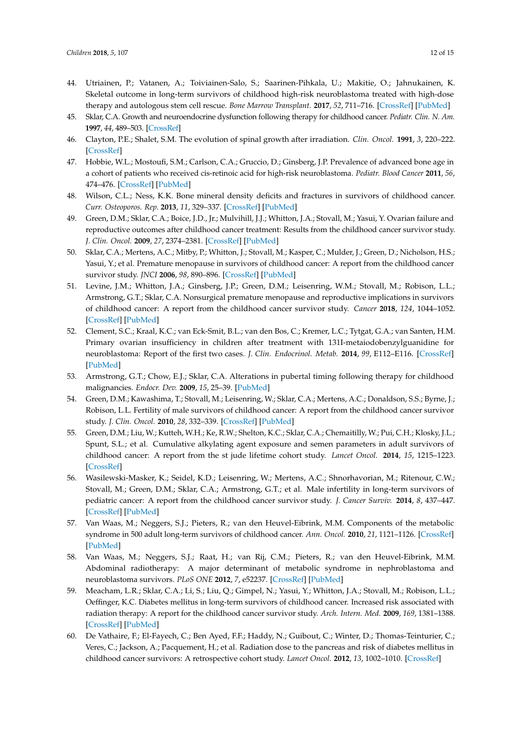- <span id="page-11-0"></span>44. Utriainen, P.; Vatanen, A.; Toiviainen-Salo, S.; Saarinen-Pihkala, U.; Makitie, O.; Jahnukainen, K. Skeletal outcome in long-term survivors of childhood high-risk neuroblastoma treated with high-dose therapy and autologous stem cell rescue. *Bone Marrow Transplant.* **2017**, *52*, 711–716. [\[CrossRef\]](http://dx.doi.org/10.1038/bmt.2016.345) [\[PubMed\]](http://www.ncbi.nlm.nih.gov/pubmed/28067882)
- <span id="page-11-1"></span>45. Sklar, C.A. Growth and neuroendocrine dysfunction following therapy for childhood cancer. *Pediatr. Clin. N. Am.* **1997**, *44*, 489–503. [\[CrossRef\]](http://dx.doi.org/10.1016/S0031-3955(05)70487-9)
- <span id="page-11-2"></span>46. Clayton, P.E.; Shalet, S.M. The evolution of spinal growth after irradiation. *Clin. Oncol.* **1991**, *3*, 220–222. [\[CrossRef\]](http://dx.doi.org/10.1016/S0936-6555(05)80744-7)
- <span id="page-11-3"></span>47. Hobbie, W.L.; Mostoufi, S.M.; Carlson, C.A.; Gruccio, D.; Ginsberg, J.P. Prevalence of advanced bone age in a cohort of patients who received cis-retinoic acid for high-risk neuroblastoma. *Pediatr. Blood Cancer* **2011**, *56*, 474–476. [\[CrossRef\]](http://dx.doi.org/10.1002/pbc.22839) [\[PubMed\]](http://www.ncbi.nlm.nih.gov/pubmed/21072832)
- <span id="page-11-4"></span>48. Wilson, C.L.; Ness, K.K. Bone mineral density deficits and fractures in survivors of childhood cancer. *Curr. Osteoporos. Rep.* **2013**, *11*, 329–337. [\[CrossRef\]](http://dx.doi.org/10.1007/s11914-013-0165-0) [\[PubMed\]](http://www.ncbi.nlm.nih.gov/pubmed/24043370)
- <span id="page-11-5"></span>49. Green, D.M.; Sklar, C.A.; Boice, J.D., Jr.; Mulvihill, J.J.; Whitton, J.A.; Stovall, M.; Yasui, Y. Ovarian failure and reproductive outcomes after childhood cancer treatment: Results from the childhood cancer survivor study. *J. Clin. Oncol.* **2009**, *27*, 2374–2381. [\[CrossRef\]](http://dx.doi.org/10.1200/JCO.2008.21.1839) [\[PubMed\]](http://www.ncbi.nlm.nih.gov/pubmed/19364956)
- 50. Sklar, C.A.; Mertens, A.C.; Mitby, P.; Whitton, J.; Stovall, M.; Kasper, C.; Mulder, J.; Green, D.; Nicholson, H.S.; Yasui, Y.; et al. Premature menopause in survivors of childhood cancer: A report from the childhood cancer survivor study. *JNCI* **2006**, *98*, 890–896. [\[CrossRef\]](http://dx.doi.org/10.1093/jnci/djj243) [\[PubMed\]](http://www.ncbi.nlm.nih.gov/pubmed/16818852)
- <span id="page-11-6"></span>51. Levine, J.M.; Whitton, J.A.; Ginsberg, J.P.; Green, D.M.; Leisenring, W.M.; Stovall, M.; Robison, L.L.; Armstrong, G.T.; Sklar, C.A. Nonsurgical premature menopause and reproductive implications in survivors of childhood cancer: A report from the childhood cancer survivor study. *Cancer* **2018**, *124*, 1044–1052. [\[CrossRef\]](http://dx.doi.org/10.1002/cncr.31121) [\[PubMed\]](http://www.ncbi.nlm.nih.gov/pubmed/29338081)
- <span id="page-11-7"></span>52. Clement, S.C.; Kraal, K.C.; van Eck-Smit, B.L.; van den Bos, C.; Kremer, L.C.; Tytgat, G.A.; van Santen, H.M. Primary ovarian insufficiency in children after treatment with 131I-metaiodobenzylguanidine for neuroblastoma: Report of the first two cases. *J. Clin. Endocrinol. Metab.* **2014**, *99*, E112–E116. [\[CrossRef\]](http://dx.doi.org/10.1210/jc.2013-3595) [\[PubMed\]](http://www.ncbi.nlm.nih.gov/pubmed/24187404)
- <span id="page-11-8"></span>53. Armstrong, G.T.; Chow, E.J.; Sklar, C.A. Alterations in pubertal timing following therapy for childhood malignancies. *Endocr. Dev.* **2009**, *15*, 25–39. [\[PubMed\]](http://www.ncbi.nlm.nih.gov/pubmed/19293602)
- <span id="page-11-9"></span>54. Green, D.M.; Kawashima, T.; Stovall, M.; Leisenring, W.; Sklar, C.A.; Mertens, A.C.; Donaldson, S.S.; Byrne, J.; Robison, L.L. Fertility of male survivors of childhood cancer: A report from the childhood cancer survivor study. *J. Clin. Oncol.* **2010**, *28*, 332–339. [\[CrossRef\]](http://dx.doi.org/10.1200/JCO.2009.24.9037) [\[PubMed\]](http://www.ncbi.nlm.nih.gov/pubmed/19949008)
- 55. Green, D.M.; Liu, W.; Kutteh, W.H.; Ke, R.W.; Shelton, K.C.; Sklar, C.A.; Chemaitilly, W.; Pui, C.H.; Klosky, J.L.; Spunt, S.L.; et al. Cumulative alkylating agent exposure and semen parameters in adult survivors of childhood cancer: A report from the st jude lifetime cohort study. *Lancet Oncol.* **2014**, *15*, 1215–1223. [\[CrossRef\]](http://dx.doi.org/10.1016/S1470-2045(14)70408-5)
- <span id="page-11-10"></span>56. Wasilewski-Masker, K.; Seidel, K.D.; Leisenring, W.; Mertens, A.C.; Shnorhavorian, M.; Ritenour, C.W.; Stovall, M.; Green, D.M.; Sklar, C.A.; Armstrong, G.T.; et al. Male infertility in long-term survivors of pediatric cancer: A report from the childhood cancer survivor study. *J. Cancer Surviv.* **2014**, *8*, 437–447. [\[CrossRef\]](http://dx.doi.org/10.1007/s11764-014-0354-6) [\[PubMed\]](http://www.ncbi.nlm.nih.gov/pubmed/24711092)
- <span id="page-11-11"></span>57. Van Waas, M.; Neggers, S.J.; Pieters, R.; van den Heuvel-Eibrink, M.M. Components of the metabolic syndrome in 500 adult long-term survivors of childhood cancer. *Ann. Oncol.* **2010**, *21*, 1121–1126. [\[CrossRef\]](http://dx.doi.org/10.1093/annonc/mdp414) [\[PubMed\]](http://www.ncbi.nlm.nih.gov/pubmed/19850641)
- <span id="page-11-12"></span>58. Van Waas, M.; Neggers, S.J.; Raat, H.; van Rij, C.M.; Pieters, R.; van den Heuvel-Eibrink, M.M. Abdominal radiotherapy: A major determinant of metabolic syndrome in nephroblastoma and neuroblastoma survivors. *PLoS ONE* **2012**, *7*, e52237. [\[CrossRef\]](http://dx.doi.org/10.1371/journal.pone.0052237) [\[PubMed\]](http://www.ncbi.nlm.nih.gov/pubmed/23251703)
- <span id="page-11-13"></span>59. Meacham, L.R.; Sklar, C.A.; Li, S.; Liu, Q.; Gimpel, N.; Yasui, Y.; Whitton, J.A.; Stovall, M.; Robison, L.L.; Oeffinger, K.C. Diabetes mellitus in long-term survivors of childhood cancer. Increased risk associated with radiation therapy: A report for the childhood cancer survivor study. *Arch. Intern. Med.* **2009**, *169*, 1381–1388. [\[CrossRef\]](http://dx.doi.org/10.1001/archinternmed.2009.209) [\[PubMed\]](http://www.ncbi.nlm.nih.gov/pubmed/19667301)
- <span id="page-11-14"></span>60. De Vathaire, F.; El-Fayech, C.; Ben Ayed, F.F.; Haddy, N.; Guibout, C.; Winter, D.; Thomas-Teinturier, C.; Veres, C.; Jackson, A.; Pacquement, H.; et al. Radiation dose to the pancreas and risk of diabetes mellitus in childhood cancer survivors: A retrospective cohort study. *Lancet Oncol.* **2012**, *13*, 1002–1010. [\[CrossRef\]](http://dx.doi.org/10.1016/S1470-2045(12)70323-6)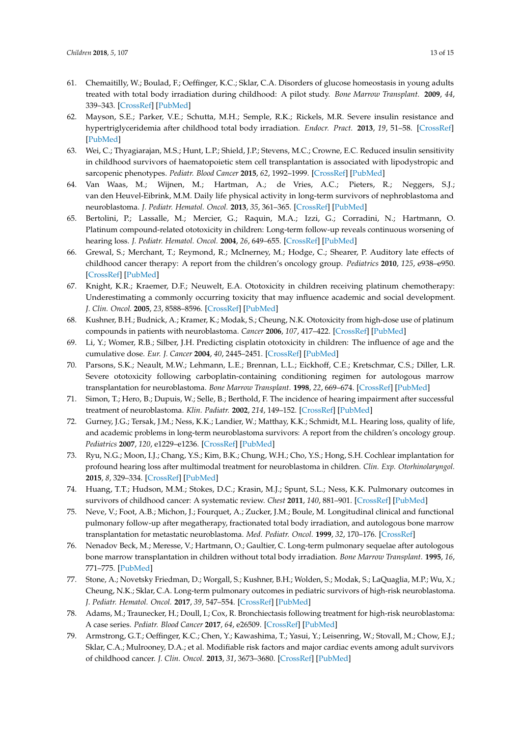- <span id="page-12-0"></span>61. Chemaitilly, W.; Boulad, F.; Oeffinger, K.C.; Sklar, C.A. Disorders of glucose homeostasis in young adults treated with total body irradiation during childhood: A pilot study. *Bone Marrow Transplant.* **2009**, *44*, 339–343. [\[CrossRef\]](http://dx.doi.org/10.1038/bmt.2009.40) [\[PubMed\]](http://www.ncbi.nlm.nih.gov/pubmed/19308039)
- 62. Mayson, S.E.; Parker, V.E.; Schutta, M.H.; Semple, R.K.; Rickels, M.R. Severe insulin resistance and hypertriglyceridemia after childhood total body irradiation. *Endocr. Pract.* **2013**, *19*, 51–58. [\[CrossRef\]](http://dx.doi.org/10.4158/EP12115.OR) [\[PubMed\]](http://www.ncbi.nlm.nih.gov/pubmed/23186952)
- <span id="page-12-1"></span>63. Wei, C.; Thyagiarajan, M.S.; Hunt, L.P.; Shield, J.P.; Stevens, M.C.; Crowne, E.C. Reduced insulin sensitivity in childhood survivors of haematopoietic stem cell transplantation is associated with lipodystropic and sarcopenic phenotypes. *Pediatr. Blood Cancer* **2015**, *62*, 1992–1999. [\[CrossRef\]](http://dx.doi.org/10.1002/pbc.25601) [\[PubMed\]](http://www.ncbi.nlm.nih.gov/pubmed/25989749)
- <span id="page-12-2"></span>64. Van Waas, M.; Wijnen, M.; Hartman, A.; de Vries, A.C.; Pieters, R.; Neggers, S.J.; van den Heuvel-Eibrink, M.M. Daily life physical activity in long-term survivors of nephroblastoma and neuroblastoma. *J. Pediatr. Hematol. Oncol.* **2013**, *35*, 361–365. [\[CrossRef\]](http://dx.doi.org/10.1097/MPH.0b013e31827e8fb9) [\[PubMed\]](http://www.ncbi.nlm.nih.gov/pubmed/23389502)
- <span id="page-12-3"></span>65. Bertolini, P.; Lassalle, M.; Mercier, G.; Raquin, M.A.; Izzi, G.; Corradini, N.; Hartmann, O. Platinum compound-related ototoxicity in children: Long-term follow-up reveals continuous worsening of hearing loss. *J. Pediatr. Hematol. Oncol.* **2004**, *26*, 649–655. [\[CrossRef\]](http://dx.doi.org/10.1097/01.mph.0000141348.62532.73) [\[PubMed\]](http://www.ncbi.nlm.nih.gov/pubmed/27811606)
- 66. Grewal, S.; Merchant, T.; Reymond, R.; McInerney, M.; Hodge, C.; Shearer, P. Auditory late effects of childhood cancer therapy: A report from the children's oncology group. *Pediatrics* **2010**, *125*, e938–e950. [\[CrossRef\]](http://dx.doi.org/10.1542/peds.2009-1597) [\[PubMed\]](http://www.ncbi.nlm.nih.gov/pubmed/20194279)
- 67. Knight, K.R.; Kraemer, D.F.; Neuwelt, E.A. Ototoxicity in children receiving platinum chemotherapy: Underestimating a commonly occurring toxicity that may influence academic and social development. *J. Clin. Oncol.* **2005**, *23*, 8588–8596. [\[CrossRef\]](http://dx.doi.org/10.1200/JCO.2004.00.5355) [\[PubMed\]](http://www.ncbi.nlm.nih.gov/pubmed/16314621)
- 68. Kushner, B.H.; Budnick, A.; Kramer, K.; Modak, S.; Cheung, N.K. Ototoxicity from high-dose use of platinum compounds in patients with neuroblastoma. *Cancer* **2006**, *107*, 417–422. [\[CrossRef\]](http://dx.doi.org/10.1002/cncr.22004) [\[PubMed\]](http://www.ncbi.nlm.nih.gov/pubmed/16779793)
- 69. Li, Y.; Womer, R.B.; Silber, J.H. Predicting cisplatin ototoxicity in children: The influence of age and the cumulative dose. *Eur. J. Cancer* **2004**, *40*, 2445–2451. [\[CrossRef\]](http://dx.doi.org/10.1016/j.ejca.2003.08.009) [\[PubMed\]](http://www.ncbi.nlm.nih.gov/pubmed/15519518)
- 70. Parsons, S.K.; Neault, M.W.; Lehmann, L.E.; Brennan, L.L.; Eickhoff, C.E.; Kretschmar, C.S.; Diller, L.R. Severe ototoxicity following carboplatin-containing conditioning regimen for autologous marrow transplantation for neuroblastoma. *Bone Marrow Transplant.* **1998**, *22*, 669–674. [\[CrossRef\]](http://dx.doi.org/10.1038/sj.bmt.1701391) [\[PubMed\]](http://www.ncbi.nlm.nih.gov/pubmed/9818694)
- <span id="page-12-4"></span>71. Simon, T.; Hero, B.; Dupuis, W.; Selle, B.; Berthold, F. The incidence of hearing impairment after successful treatment of neuroblastoma. *Klin. Padiatr.* **2002**, *214*, 149–152. [\[CrossRef\]](http://dx.doi.org/10.1055/s-2002-33179) [\[PubMed\]](http://www.ncbi.nlm.nih.gov/pubmed/12165893)
- <span id="page-12-5"></span>72. Gurney, J.G.; Tersak, J.M.; Ness, K.K.; Landier, W.; Matthay, K.K.; Schmidt, M.L. Hearing loss, quality of life, and academic problems in long-term neuroblastoma survivors: A report from the children's oncology group. *Pediatrics* **2007**, *120*, e1229–e1236. [\[CrossRef\]](http://dx.doi.org/10.1542/peds.2007-0178) [\[PubMed\]](http://www.ncbi.nlm.nih.gov/pubmed/17974716)
- <span id="page-12-6"></span>73. Ryu, N.G.; Moon, I.J.; Chang, Y.S.; Kim, B.K.; Chung, W.H.; Cho, Y.S.; Hong, S.H. Cochlear implantation for profound hearing loss after multimodal treatment for neuroblastoma in children. *Clin. Exp. Otorhinolaryngol.* **2015**, *8*, 329–334. [\[CrossRef\]](http://dx.doi.org/10.3342/ceo.2015.8.4.329) [\[PubMed\]](http://www.ncbi.nlm.nih.gov/pubmed/26622949)
- <span id="page-12-7"></span>74. Huang, T.T.; Hudson, M.M.; Stokes, D.C.; Krasin, M.J.; Spunt, S.L.; Ness, K.K. Pulmonary outcomes in survivors of childhood cancer: A systematic review. *Chest* **2011**, *140*, 881–901. [\[CrossRef\]](http://dx.doi.org/10.1378/chest.10-2133) [\[PubMed\]](http://www.ncbi.nlm.nih.gov/pubmed/21415131)
- <span id="page-12-8"></span>75. Neve, V.; Foot, A.B.; Michon, J.; Fourquet, A.; Zucker, J.M.; Boule, M. Longitudinal clinical and functional pulmonary follow-up after megatherapy, fractionated total body irradiation, and autologous bone marrow transplantation for metastatic neuroblastoma. *Med. Pediatr. Oncol.* **1999**, *32*, 170–176. [\[CrossRef\]](http://dx.doi.org/10.1002/(SICI)1096-911X(199903)32:3<170::AID-MPO2>3.0.CO;2-4)
- <span id="page-12-9"></span>76. Nenadov Beck, M.; Meresse, V.; Hartmann, O.; Gaultier, C. Long-term pulmonary sequelae after autologous bone marrow transplantation in children without total body irradiation. *Bone Marrow Transplant.* **1995**, *16*, 771–775. [\[PubMed\]](http://www.ncbi.nlm.nih.gov/pubmed/8750268)
- <span id="page-12-10"></span>77. Stone, A.; Novetsky Friedman, D.; Worgall, S.; Kushner, B.H.; Wolden, S.; Modak, S.; LaQuaglia, M.P.; Wu, X.; Cheung, N.K.; Sklar, C.A. Long-term pulmonary outcomes in pediatric survivors of high-risk neuroblastoma. *J. Pediatr. Hematol. Oncol.* **2017**, *39*, 547–554. [\[CrossRef\]](http://dx.doi.org/10.1097/MPH.0000000000000883) [\[PubMed\]](http://www.ncbi.nlm.nih.gov/pubmed/28692550)
- <span id="page-12-11"></span>78. Adams, M.; Traunecker, H.; Doull, I.; Cox, R. Bronchiectasis following treatment for high-risk neuroblastoma: A case series. *Pediatr. Blood Cancer* **2017**, *64*, e26509. [\[CrossRef\]](http://dx.doi.org/10.1002/pbc.26509) [\[PubMed\]](http://www.ncbi.nlm.nih.gov/pubmed/28296062)
- <span id="page-12-12"></span>79. Armstrong, G.T.; Oeffinger, K.C.; Chen, Y.; Kawashima, T.; Yasui, Y.; Leisenring, W.; Stovall, M.; Chow, E.J.; Sklar, C.A.; Mulrooney, D.A.; et al. Modifiable risk factors and major cardiac events among adult survivors of childhood cancer. *J. Clin. Oncol.* **2013**, *31*, 3673–3680. [\[CrossRef\]](http://dx.doi.org/10.1200/JCO.2013.49.3205) [\[PubMed\]](http://www.ncbi.nlm.nih.gov/pubmed/24002505)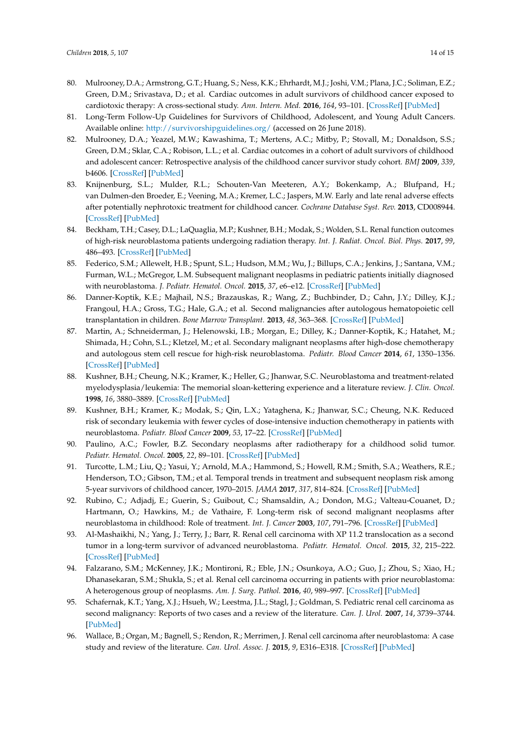- <span id="page-13-0"></span>80. Mulrooney, D.A.; Armstrong, G.T.; Huang, S.; Ness, K.K.; Ehrhardt, M.J.; Joshi, V.M.; Plana, J.C.; Soliman, E.Z.; Green, D.M.; Srivastava, D.; et al. Cardiac outcomes in adult survivors of childhood cancer exposed to cardiotoxic therapy: A cross-sectional study. *Ann. Intern. Med.* **2016**, *164*, 93–101. [\[CrossRef\]](http://dx.doi.org/10.7326/M15-0424) [\[PubMed\]](http://www.ncbi.nlm.nih.gov/pubmed/26747086)
- <span id="page-13-1"></span>81. Long-Term Follow-Up Guidelines for Survivors of Childhood, Adolescent, and Young Adult Cancers. Available online: <http://survivorshipguidelines.org/> (accessed on 26 June 2018).
- <span id="page-13-2"></span>82. Mulrooney, D.A.; Yeazel, M.W.; Kawashima, T.; Mertens, A.C.; Mitby, P.; Stovall, M.; Donaldson, S.S.; Green, D.M.; Sklar, C.A.; Robison, L.L.; et al. Cardiac outcomes in a cohort of adult survivors of childhood and adolescent cancer: Retrospective analysis of the childhood cancer survivor study cohort. *BMJ* **2009**, *339*, b4606. [\[CrossRef\]](http://dx.doi.org/10.1136/bmj.b4606) [\[PubMed\]](http://www.ncbi.nlm.nih.gov/pubmed/19996459)
- <span id="page-13-3"></span>83. Knijnenburg, S.L.; Mulder, R.L.; Schouten-Van Meeteren, A.Y.; Bokenkamp, A.; Blufpand, H.; van Dulmen-den Broeder, E.; Veening, M.A.; Kremer, L.C.; Jaspers, M.W. Early and late renal adverse effects after potentially nephrotoxic treatment for childhood cancer. *Cochrane Database Syst. Rev.* **2013**, CD008944. [\[CrossRef\]](http://dx.doi.org/10.1002/14651858.CD008944.pub2) [\[PubMed\]](http://www.ncbi.nlm.nih.gov/pubmed/24101439)
- <span id="page-13-4"></span>84. Beckham, T.H.; Casey, D.L.; LaQuaglia, M.P.; Kushner, B.H.; Modak, S.; Wolden, S.L. Renal function outcomes of high-risk neuroblastoma patients undergoing radiation therapy. *Int. J. Radiat. Oncol. Biol. Phys.* **2017**, *99*, 486–493. [\[CrossRef\]](http://dx.doi.org/10.1016/j.ijrobp.2017.04.003) [\[PubMed\]](http://www.ncbi.nlm.nih.gov/pubmed/28872000)
- <span id="page-13-5"></span>85. Federico, S.M.; Allewelt, H.B.; Spunt, S.L.; Hudson, M.M.; Wu, J.; Billups, C.A.; Jenkins, J.; Santana, V.M.; Furman, W.L.; McGregor, L.M. Subsequent malignant neoplasms in pediatric patients initially diagnosed with neuroblastoma. *J. Pediatr. Hematol. Oncol.* **2015**, *37*, e6–e12. [\[CrossRef\]](http://dx.doi.org/10.1097/MPH.0000000000000148) [\[PubMed\]](http://www.ncbi.nlm.nih.gov/pubmed/24633303)
- <span id="page-13-6"></span>86. Danner-Koptik, K.E.; Majhail, N.S.; Brazauskas, R.; Wang, Z.; Buchbinder, D.; Cahn, J.Y.; Dilley, K.J.; Frangoul, H.A.; Gross, T.G.; Hale, G.A.; et al. Second malignancies after autologous hematopoietic cell transplantation in children. *Bone Marrow Transplant.* **2013**, *48*, 363–368. [\[CrossRef\]](http://dx.doi.org/10.1038/bmt.2012.166) [\[PubMed\]](http://www.ncbi.nlm.nih.gov/pubmed/22964594)
- <span id="page-13-7"></span>87. Martin, A.; Schneiderman, J.; Helenowski, I.B.; Morgan, E.; Dilley, K.; Danner-Koptik, K.; Hatahet, M.; Shimada, H.; Cohn, S.L.; Kletzel, M.; et al. Secondary malignant neoplasms after high-dose chemotherapy and autologous stem cell rescue for high-risk neuroblastoma. *Pediatr. Blood Cancer* **2014**, *61*, 1350–1356. [\[CrossRef\]](http://dx.doi.org/10.1002/pbc.25033) [\[PubMed\]](http://www.ncbi.nlm.nih.gov/pubmed/24634399)
- <span id="page-13-8"></span>88. Kushner, B.H.; Cheung, N.K.; Kramer, K.; Heller, G.; Jhanwar, S.C. Neuroblastoma and treatment-related myelodysplasia/leukemia: The memorial sloan-kettering experience and a literature review. *J. Clin. Oncol.* **1998**, *16*, 3880–3889. [\[CrossRef\]](http://dx.doi.org/10.1200/JCO.1998.16.12.3880) [\[PubMed\]](http://www.ncbi.nlm.nih.gov/pubmed/9850034)
- <span id="page-13-9"></span>89. Kushner, B.H.; Kramer, K.; Modak, S.; Qin, L.X.; Yataghena, K.; Jhanwar, S.C.; Cheung, N.K. Reduced risk of secondary leukemia with fewer cycles of dose-intensive induction chemotherapy in patients with neuroblastoma. *Pediatr. Blood Cancer* **2009**, *53*, 17–22. [\[CrossRef\]](http://dx.doi.org/10.1002/pbc.21931) [\[PubMed\]](http://www.ncbi.nlm.nih.gov/pubmed/19148951)
- <span id="page-13-10"></span>90. Paulino, A.C.; Fowler, B.Z. Secondary neoplasms after radiotherapy for a childhood solid tumor. *Pediatr. Hematol. Oncol.* **2005**, *22*, 89–101. [\[CrossRef\]](http://dx.doi.org/10.1080/08880010590896459) [\[PubMed\]](http://www.ncbi.nlm.nih.gov/pubmed/15804994)
- <span id="page-13-11"></span>91. Turcotte, L.M.; Liu, Q.; Yasui, Y.; Arnold, M.A.; Hammond, S.; Howell, R.M.; Smith, S.A.; Weathers, R.E.; Henderson, T.O.; Gibson, T.M.; et al. Temporal trends in treatment and subsequent neoplasm risk among 5-year survivors of childhood cancer, 1970–2015. *JAMA* **2017**, *317*, 814–824. [\[CrossRef\]](http://dx.doi.org/10.1001/jama.2017.0693) [\[PubMed\]](http://www.ncbi.nlm.nih.gov/pubmed/28245323)
- <span id="page-13-12"></span>92. Rubino, C.; Adjadj, E.; Guerin, S.; Guibout, C.; Shamsaldin, A.; Dondon, M.G.; Valteau-Couanet, D.; Hartmann, O.; Hawkins, M.; de Vathaire, F. Long-term risk of second malignant neoplasms after neuroblastoma in childhood: Role of treatment. *Int. J. Cancer* **2003**, *107*, 791–796. [\[CrossRef\]](http://dx.doi.org/10.1002/ijc.11455) [\[PubMed\]](http://www.ncbi.nlm.nih.gov/pubmed/14566829)
- <span id="page-13-13"></span>93. Al-Mashaikhi, N.; Yang, J.; Terry, J.; Barr, R. Renal cell carcinoma with XP 11.2 translocation as a second tumor in a long-term survivor of advanced neuroblastoma. *Pediatr. Hematol. Oncol.* **2015**, *32*, 215–222. [\[CrossRef\]](http://dx.doi.org/10.3109/08880018.2014.979457) [\[PubMed\]](http://www.ncbi.nlm.nih.gov/pubmed/25551622)
- 94. Falzarano, S.M.; McKenney, J.K.; Montironi, R.; Eble, J.N.; Osunkoya, A.O.; Guo, J.; Zhou, S.; Xiao, H.; Dhanasekaran, S.M.; Shukla, S.; et al. Renal cell carcinoma occurring in patients with prior neuroblastoma: A heterogenous group of neoplasms. *Am. J. Surg. Pathol.* **2016**, *40*, 989–997. [\[CrossRef\]](http://dx.doi.org/10.1097/PAS.0000000000000632) [\[PubMed\]](http://www.ncbi.nlm.nih.gov/pubmed/26975037)
- 95. Schafernak, K.T.; Yang, X.J.; Hsueh, W.; Leestma, J.L.; Stagl, J.; Goldman, S. Pediatric renal cell carcinoma as second malignancy: Reports of two cases and a review of the literature. *Can. J. Urol.* **2007**, *14*, 3739–3744. [\[PubMed\]](http://www.ncbi.nlm.nih.gov/pubmed/18163925)
- 96. Wallace, B.; Organ, M.; Bagnell, S.; Rendon, R.; Merrimen, J. Renal cell carcinoma after neuroblastoma: A case study and review of the literature. *Can. Urol. Assoc. J.* **2015**, *9*, E316–E318. [\[CrossRef\]](http://dx.doi.org/10.5489/cuaj.2564) [\[PubMed\]](http://www.ncbi.nlm.nih.gov/pubmed/26029305)